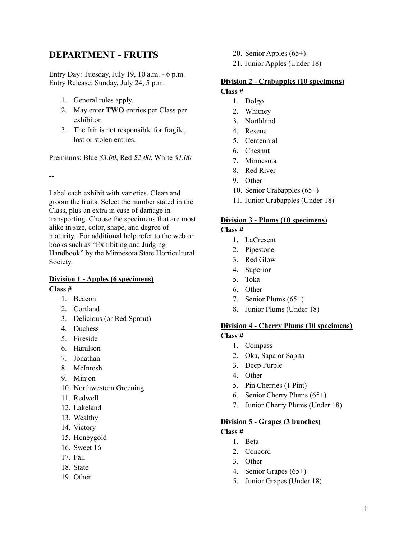# **DEPARTMENT - FRUITS**

Entry Day: Tuesday, July 19, 10 a.m. - 6 p.m. Entry Release: Sunday, July 24, 5 p.m.

- 1. General rules apply.
- 2. May enter **TWO** entries per Class per exhibitor.
- 3. The fair is not responsible for fragile, lost or stolen entries.

Premiums: Blue *\$3.00*, Red *\$2.00*, White *\$1.00*

**--**

Label each exhibit with varieties. Clean and groom the fruits. Select the number stated in the Class, plus an extra in case of damage in transporting. Choose the specimens that are most alike in size, color, shape, and degree of maturity. For additional help refer to the web or books such as "Exhibiting and Judging Handbook" by the Minnesota State Horticultural Society.

# **Division 1 - Apples (6 specimens)**

**Class #**

- 1. Beacon
- 2. Cortland
- 3. Delicious (or Red Sprout)
- 4. Duchess
- 5. Fireside
- 6. Haralson
- 7. Jonathan
- 8. McIntosh
- 9. Minjon
- 10. Northwestern Greening
- 11. Redwell
- 12. Lakeland
- 13. Wealthy
- 14. Victory
- 15. Honeygold
- 16. Sweet 16
- 17. Fall
- 18. State
- 19. Other
- 20. Senior Apples (65+)
- 21. Junior Apples (Under 18)

# **Division 2 - Crabapples (10 specimens)**

# **Class #**

- 1. Dolgo
- 2. Whitney
- 3. Northland
- 4. Resene
- 5. Centennial
- 6. Chesnut
- 7. Minnesota
- 8. Red River
- 9. Other
- 10. Senior Crabapples (65+)
- 11. Junior Crabapples (Under 18)

#### **Division 3 - Plums (10 specimens)**

### **Class #**

- 1. LaCresent
- 2. Pipestone
- 3. Red Glow
- 4. Superior
- 5. Toka
- 6. Other
- 7. Senior Plums (65+)
- 8. Junior Plums (Under 18)

### **Division 4 - Cherry Plums (10 specimens)**

- **Class #**
	- 1. Compass
	- 2. Oka, Sapa or Sapita
	- 3. Deep Purple
	- 4. Other
	- 5. Pin Cherries (1 Pint)
	- 6. Senior Cherry Plums (65+)
	- 7. Junior Cherry Plums (Under 18)

#### **Division 5 - Grapes (3 bunches)**

#### **Class #**

- 1. Beta
- 2. Concord
- 3. Other
- 4. Senior Grapes (65+)
- 5. Junior Grapes (Under 18)